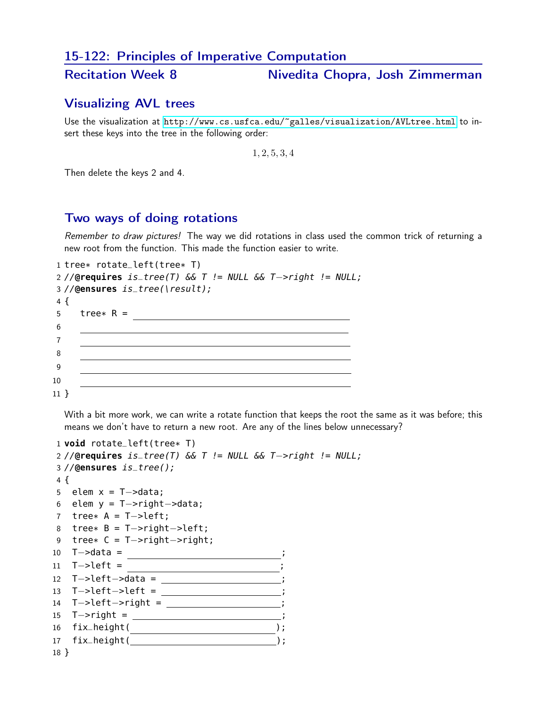#### 15-122: Principles of Imperative Computation

Recitation Week 8 Nivedita Chopra, Josh Zimmerman

## Visualizing AVL trees

Use the visualization at <http://www.cs.usfca.edu/~galles/visualization/AVLtree.html> to insert these keys into the tree in the following order:

1, 2, 5, 3, 4

Then delete the keys 2 and 4.

### Two ways of doing rotations

Remember to draw pictures! The way we did rotations in class used the common trick of returning a new root from the function. This made the function easier to write.

```
1 tree* rotate_left(tree* T)
2 //@requires is_tree(T) && T != NULL && T−>right != NULL;
3 //@ensures is_tree(\result);
4 {
5 tree* R =
6
                <u> 1989 - Johann Barbara, martxa alemaniar amerikan basar da a</u>
7
8
9
10
11 }
```
With a bit more work, we can write a rotate function that keeps the root the same as it was before; this means we don't have to return a new root. Are any of the lines below unnecessary?

```
1 void rotate_left(tree* T)
2 //@requires is_tree(T) && T != NULL && T−>right != NULL;
3 //@ensures is_tree();
4 {
5 elem x = T ->data;
6 elem y = T−>right−>data;
7 tree* A = T−>left;
8 tree* B = T−>right−>left;
9 tree* C = T->right->right;
10 T->data = ;<br>;
11 T->left = <u>____________________</u>;
12 T−>left−>data = ;
13 T−>left−>left = ;
14 T->left->right = _________________;
15 T->right = _________________________;
16 fix_height( );
17 fix_height( );
18 }
```